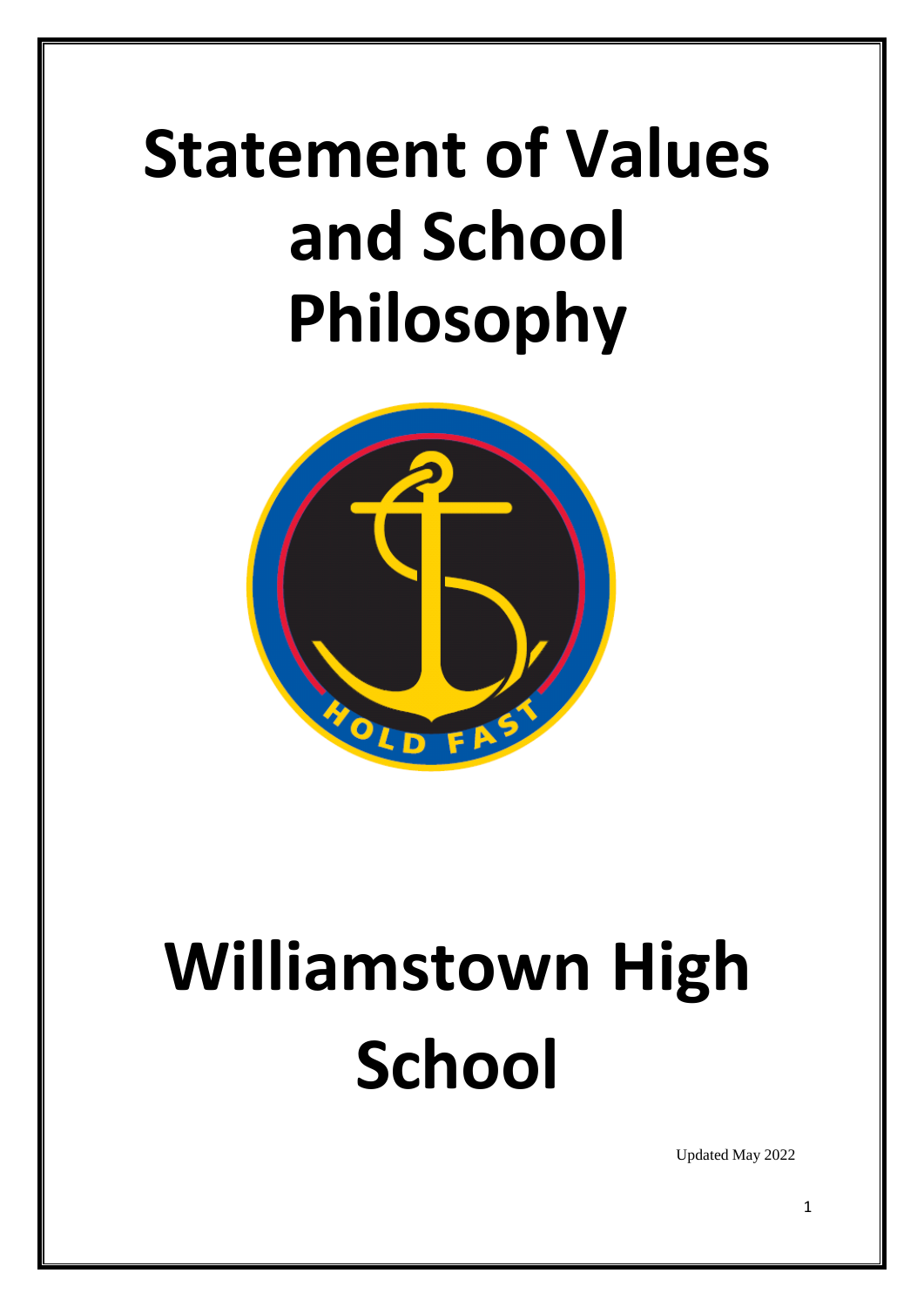# **Statement of Values and School Philosophy**



# **Williamstown High School**

Updated May 2022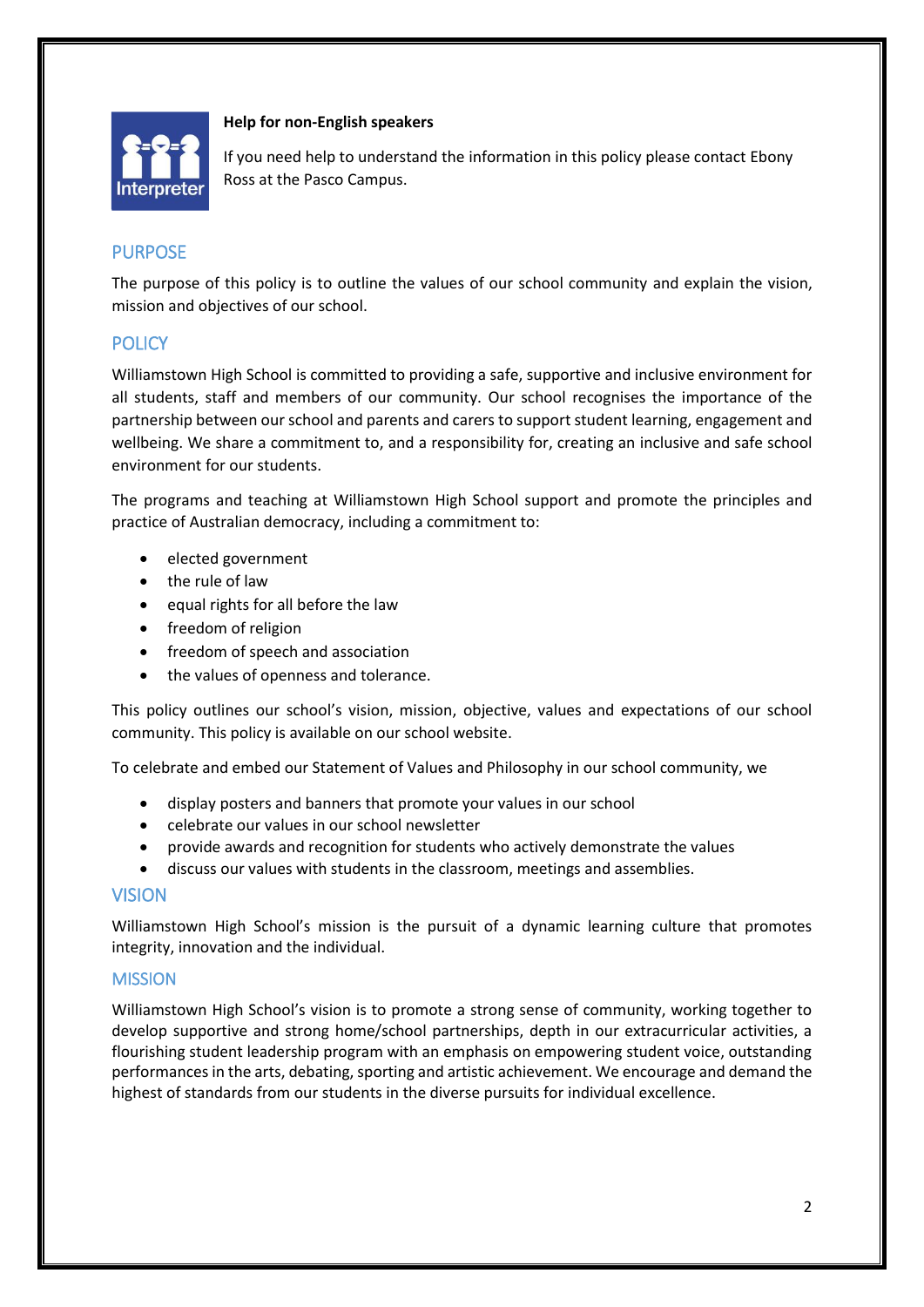

#### **Help for non-English speakers**

If you need help to understand the information in this policy please contact Ebony Ross at the Pasco Campus.

#### PURPOSE

The purpose of this policy is to outline the values of our school community and explain the vision, mission and objectives of our school.

# **POLICY**

Williamstown High School is committed to providing a safe, supportive and inclusive environment for all students, staff and members of our community. Our school recognises the importance of the partnership between our school and parents and carers to support student learning, engagement and wellbeing. We share a commitment to, and a responsibility for, creating an inclusive and safe school environment for our students.

The programs and teaching at Williamstown High School support and promote the principles and practice of Australian democracy, including a commitment to:

- elected government
- the rule of law
- equal rights for all before the law
- freedom of religion
- freedom of speech and association
- the values of openness and tolerance.

This policy outlines our school's vision, mission, objective, values and expectations of our school community. This policy is available on our school website.

To celebrate and embed our Statement of Values and Philosophy in our school community, we

- display posters and banners that promote your values in our school
- celebrate our values in our school newsletter
- provide awards and recognition for students who actively demonstrate the values
- discuss our values with students in the classroom, meetings and assemblies.

#### VISION

Williamstown High School's mission is the pursuit of a dynamic learning culture that promotes integrity, innovation and the individual.

#### **MISSION**

Williamstown High School's vision is to promote a strong sense of community, working together to develop supportive and strong home/school partnerships, depth in our extracurricular activities, a flourishing student leadership program with an emphasis on empowering student voice, outstanding performances in the arts, debating, sporting and artistic achievement. We encourage and demand the highest of standards from our students in the diverse pursuits for individual excellence.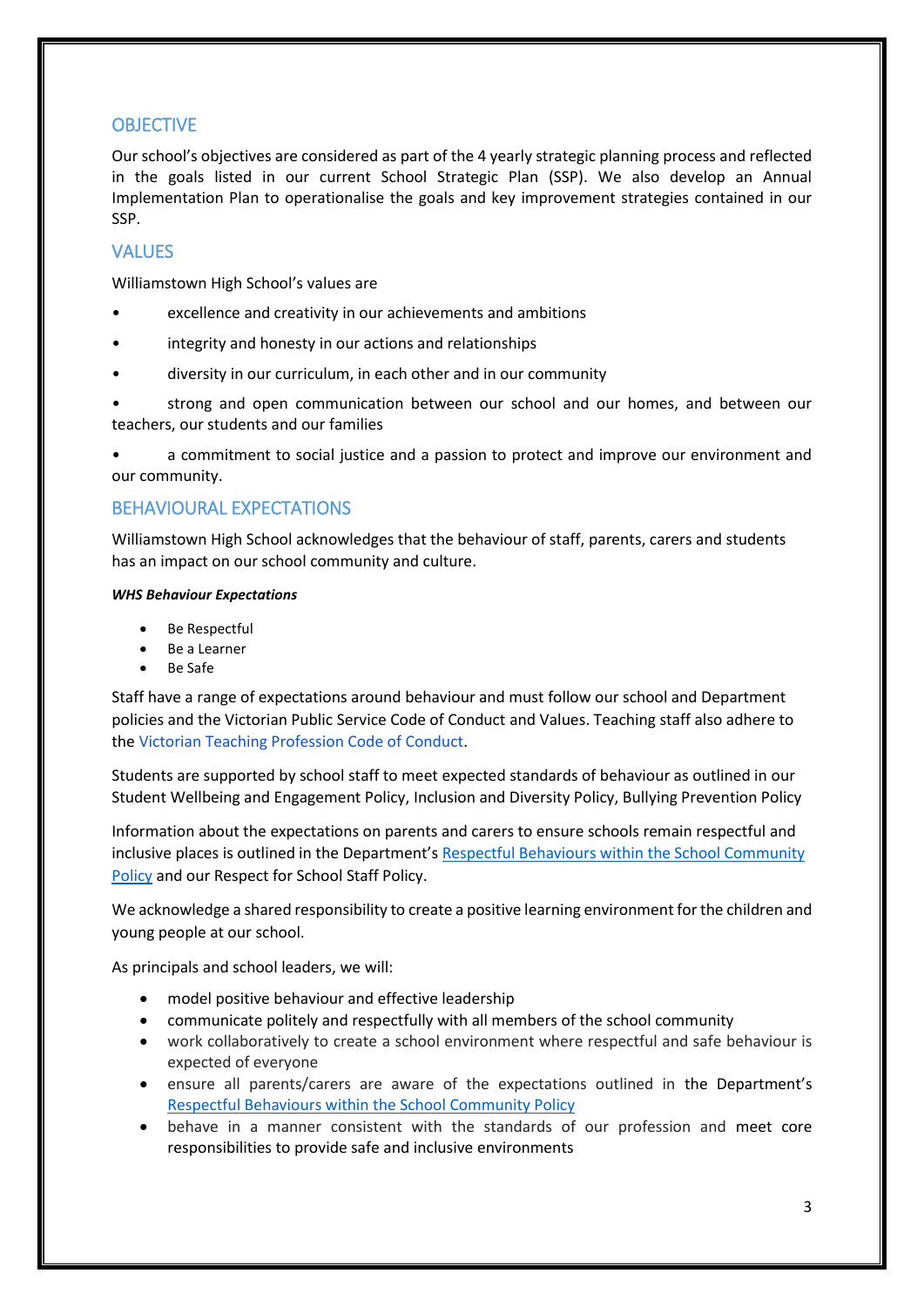#### **OBJECTIVE**

Our school's objectives are considered as part of the 4 yearly strategic planning process and reflected in the goals listed in our current School Strategic Plan (SSP). We also develop an Annual Implementation Plan to operationalise the goals and key improvement strategies contained in our SSP.

# **VALUES**

Williamstown High School's values are

- excellence and creativity in our achievements and ambitions
- integrity and honesty in our actions and relationships
- diversity in our curriculum, in each other and in our community
- strong and open communication between our school and our homes, and between our teachers, our students and our families

• a commitment to social justice and a passion to protect and improve our environment and our community.

### BEHAVIOURAL EXPECTATIONS

Williamstown High School acknowledges that the behaviour of staff, parents, carers and students has an impact on our school community and culture.

#### *WHS Behaviour Expectations*

- Be Respectful
- Be a Learner
- Be Safe

Staff have a range of expectations around behaviour and must follow our school and Department policies and the Victorian Public Service Code of Conduct and Values. Teaching staff also adhere to th[e Victorian Teaching Profession Code of](https://aus01.safelinks.protection.outlook.com/?url=https%3A%2F%2Fwww.vit.vic.edu.au%2F__data%2Fassets%2Fpdf_file%2F0018%2F35604%2FCode-of-Conduct-2016.pdf&data=04%7C01%7CDanica.Murfett%40education.vic.gov.au%7Cb43d1afd7ebb473c81e508d981873340%7Cd96cb3371a8744cfb69b3cec334a4c1f%7C0%7C0%7C637683239979128787%7CUnknown%7CTWFpbGZsb3d8eyJWIjoiMC4wLjAwMDAiLCJQIjoiV2luMzIiLCJBTiI6Ik1haWwiLCJXVCI6Mn0%3D%7C1000&sdata=heJJ%2BZ8GEARC17dMHn1KSHr7h71dVWpSqPJTehqiq0c%3D&reserved=0) Conduct.

Students are supported by school staff to meet expected standards of behaviour as outlined in our Student Wellbeing and Engagement Policy, Inclusion and Diversity Policy, Bullying Prevention Policy

Information about the expectations on parents and carers to ensure schools remain respectful and inclusive places is outlined in the Department's [Respectful Behaviours within the School Community](https://www.education.vic.gov.au/Pages/Respectful-Behaviours-within-the-School-Community-Policy.aspx)  [Policy](https://www.education.vic.gov.au/Pages/Respectful-Behaviours-within-the-School-Community-Policy.aspx) and our Respect for School Staff Policy.

We acknowledge a shared responsibility to create a positive learning environment for the children and young people at our school.

As principals and school leaders, we will:

- model positive behaviour and effective leadership
- communicate politely and respectfully with all members of the school community
- work collaboratively to create a school environment where respectful and safe behaviour is expected of everyone
- ensure all parents/carers are aware of the expectations outlined in the Department's [Respectful Behaviours within the School Community Policy](https://www.education.vic.gov.au/Pages/Respectful-Behaviours-within-the-School-Community-Policy.aspx)
- behave in a manner consistent with the standards of our profession and meet core responsibilities to provide safe and inclusive environments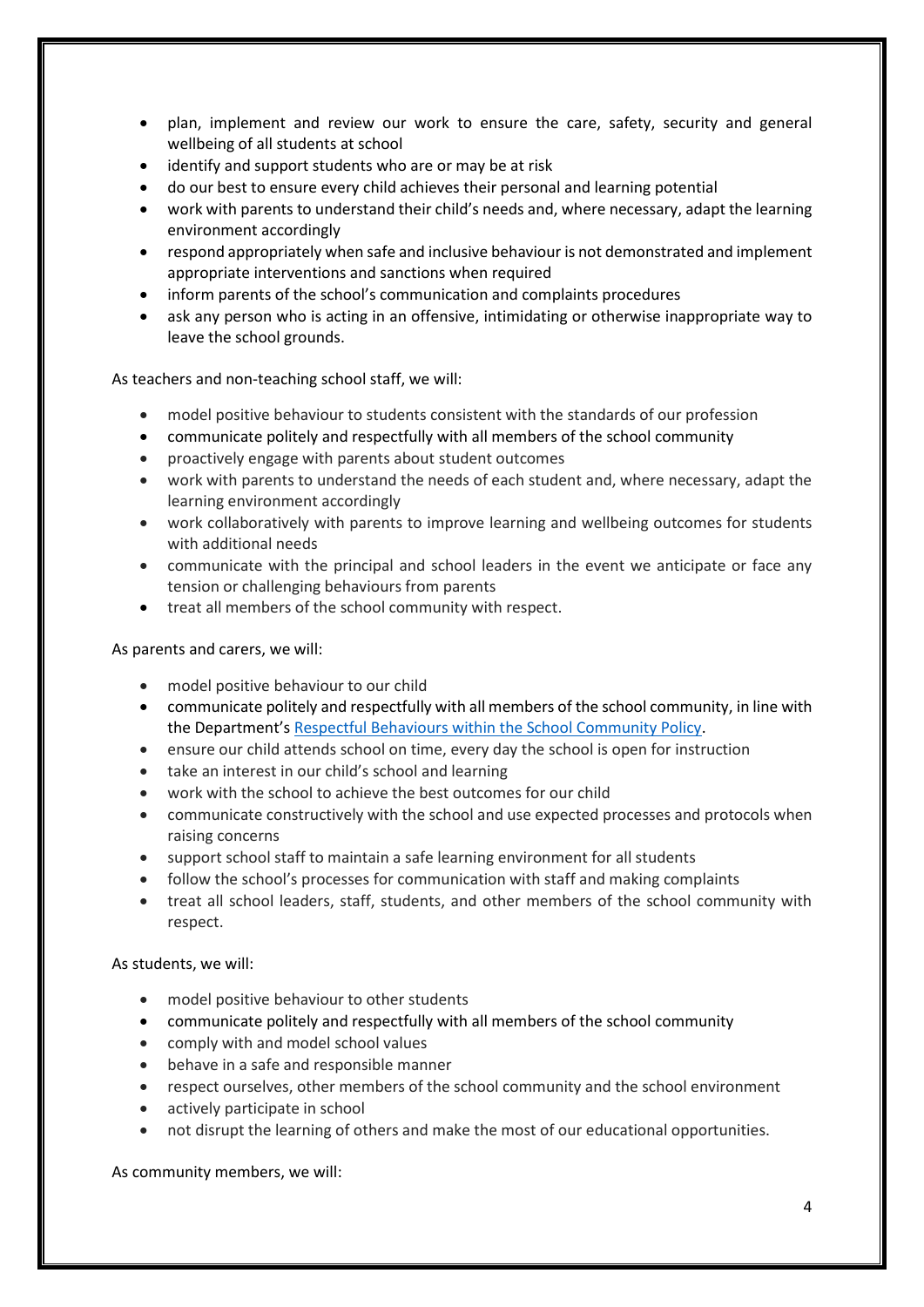- plan, implement and review our work to ensure the care, safety, security and general wellbeing of all students at school
- identify and support students who are or may be at risk
- do our best to ensure every child achieves their personal and learning potential
- work with parents to understand their child's needs and, where necessary, adapt the learning environment accordingly
- respond appropriately when safe and inclusive behaviour is not demonstrated and implement appropriate interventions and sanctions when required
- inform parents of the school's communication and complaints procedures
- ask any person who is acting in an offensive, intimidating or otherwise inappropriate way to leave the school grounds.

As teachers and non-teaching school staff, we will:

- model positive behaviour to students consistent with the standards of our profession
- communicate politely and respectfully with all members of the school community
- proactively engage with parents about student outcomes
- work with parents to understand the needs of each student and, where necessary, adapt the learning environment accordingly
- work collaboratively with parents to improve learning and wellbeing outcomes for students with additional needs
- communicate with the principal and school leaders in the event we anticipate or face any tension or challenging behaviours from parents
- treat all members of the school community with respect.

#### As parents and carers, we will:

- model positive behaviour to our child
- communicate politely and respectfully with all members of the school community, in line with the Department's [Respectful Behaviours within the School Community Policy.](https://www.education.vic.gov.au/Pages/Respectful-Behaviours-within-the-School-Community-Policy.aspx)
- ensure our child attends school on time, every day the school is open for instruction
- take an interest in our child's school and learning
- work with the school to achieve the best outcomes for our child
- communicate constructively with the school and use expected processes and protocols when raising concerns
- support school staff to maintain a safe learning environment for all students
- follow the school's processes for communication with staff and making complaints
- treat all school leaders, staff, students, and other members of the school community with respect.

As students, we will:

- model positive behaviour to other students
- communicate politely and respectfully with all members of the school community
- comply with and model school values
- behave in a safe and responsible manner
- respect ourselves, other members of the school community and the school environment
- actively participate in school
- not disrupt the learning of others and make the most of our educational opportunities.

As community members, we will: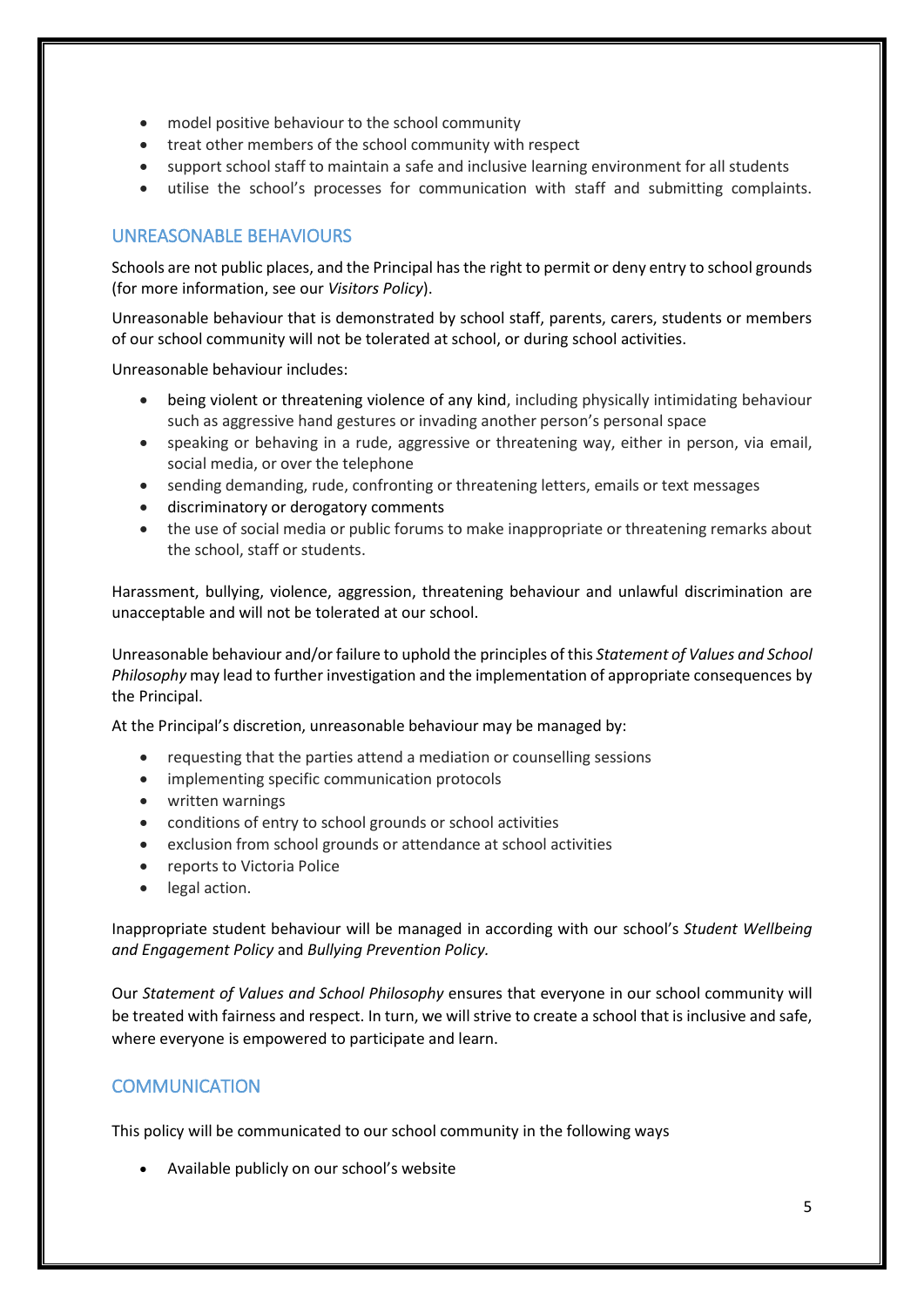- model positive behaviour to the school community
- treat other members of the school community with respect
- support school staff to maintain a safe and inclusive learning environment for all students
- utilise the school's processes for communication with staff and submitting complaints.

### UNREASONABLE BEHAVIOURS

Schools are not public places, and the Principal has the right to permit or deny entry to school grounds (for more information, see our *Visitors Policy*).

Unreasonable behaviour that is demonstrated by school staff, parents, carers, students or members of our school community will not be tolerated at school, or during school activities.

Unreasonable behaviour includes:

- being violent or threatening violence of any kind, including physically intimidating behaviour such as aggressive hand gestures or invading another person's personal space
- speaking or behaving in a rude, aggressive or threatening way, either in person, via email, social media, or over the telephone
- sending demanding, rude, confronting or threatening letters, emails or text messages
- discriminatory or derogatory comments
- the use of social media or public forums to make inappropriate or threatening remarks about the school, staff or students.

Harassment, bullying, violence, aggression, threatening behaviour and unlawful discrimination are unacceptable and will not be tolerated at our school.

Unreasonable behaviour and/or failure to uphold the principles of this *Statement of Values and School Philosophy* may lead to further investigation and the implementation of appropriate consequences by the Principal.

At the Principal's discretion, unreasonable behaviour may be managed by:

- requesting that the parties attend a mediation or counselling sessions
- implementing specific communication protocols
- written warnings
- conditions of entry to school grounds or school activities
- exclusion from school grounds or attendance at school activities
- reports to Victoria Police
- legal action.

Inappropriate student behaviour will be managed in according with our school's *Student Wellbeing and Engagement Policy* and *Bullying Prevention Policy.*

Our *Statement of Values and School Philosophy* ensures that everyone in our school community will be treated with fairness and respect. In turn, we will strive to create a school that is inclusive and safe, where everyone is empowered to participate and learn.

#### **COMMUNICATION**

This policy will be communicated to our school community in the following ways

• Available publicly on our school's website